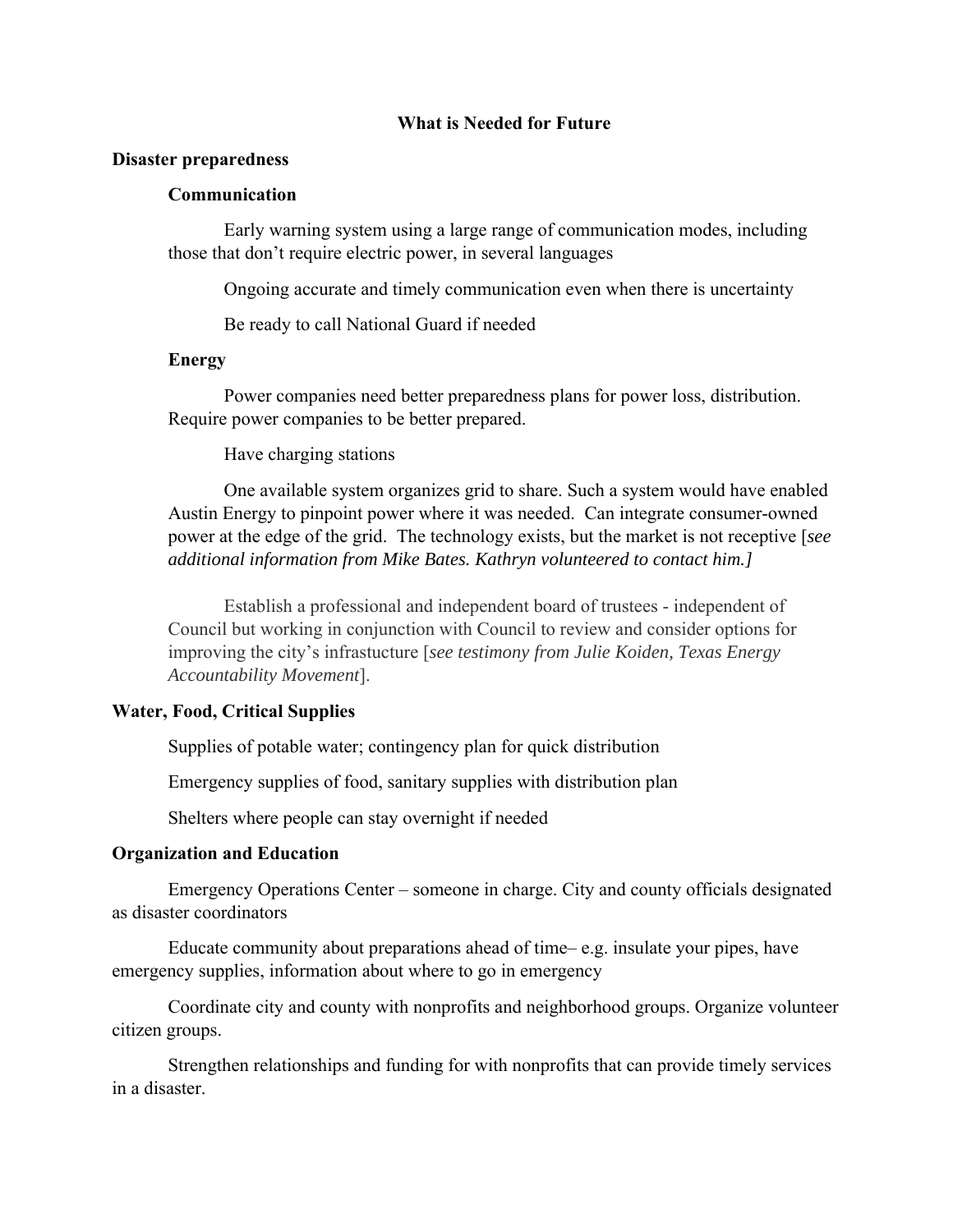#### **What is Needed for Future**

#### **Disaster preparedness**

# **Communication**

Early warning system using a large range of communication modes, including those that don't require electric power, in several languages

Ongoing accurate and timely communication even when there is uncertainty

Be ready to call National Guard if needed

## **Energy**

Power companies need better preparedness plans for power loss, distribution. Require power companies to be better prepared.

Have charging stations

One available system organizes grid to share. Such a system would have enabled Austin Energy to pinpoint power where it was needed. Can integrate consumer-owned power at the edge of the grid. The technology exists, but the market is not receptive [*see additional information from Mike Bates. Kathryn volunteered to contact him.]* 

Establish a professional and independent board of trustees - independent of Council but working in conjunction with Council to review and consider options for improving the city's infrastucture [*see testimony from Julie Koiden, Texas Energy Accountability Movement*].

# **Water, Food, Critical Supplies**

Supplies of potable water; contingency plan for quick distribution

Emergency supplies of food, sanitary supplies with distribution plan

Shelters where people can stay overnight if needed

# **Organization and Education**

Emergency Operations Center – someone in charge. City and county officials designated as disaster coordinators

Educate community about preparations ahead of time– e.g. insulate your pipes, have emergency supplies, information about where to go in emergency

Coordinate city and county with nonprofits and neighborhood groups. Organize volunteer citizen groups.

Strengthen relationships and funding for with nonprofits that can provide timely services in a disaster.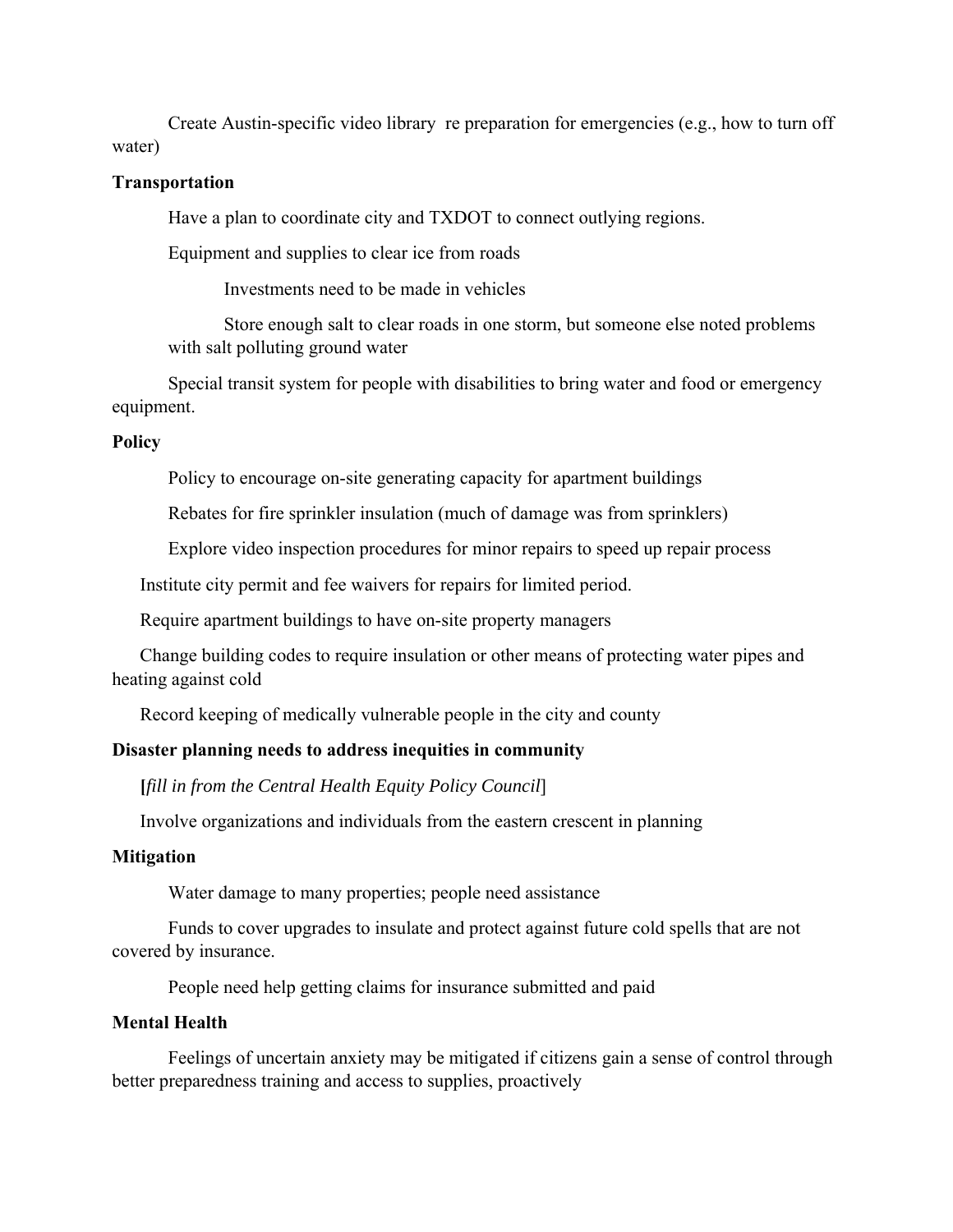Create Austin-specific video library re preparation for emergencies (e.g., how to turn off water)

## **Transportation**

Have a plan to coordinate city and TXDOT to connect outlying regions.

Equipment and supplies to clear ice from roads

Investments need to be made in vehicles

Store enough salt to clear roads in one storm, but someone else noted problems with salt polluting ground water

Special transit system for people with disabilities to bring water and food or emergency equipment.

## **Policy**

Policy to encourage on-site generating capacity for apartment buildings

Rebates for fire sprinkler insulation (much of damage was from sprinklers)

Explore video inspection procedures for minor repairs to speed up repair process

Institute city permit and fee waivers for repairs for limited period.

Require apartment buildings to have on-site property managers

Change building codes to require insulation or other means of protecting water pipes and heating against cold

Record keeping of medically vulnerable people in the city and county

# **Disaster planning needs to address inequities in community**

**[***fill in from the Central Health Equity Policy Council*]

Involve organizations and individuals from the eastern crescent in planning

#### **Mitigation**

Water damage to many properties; people need assistance

Funds to cover upgrades to insulate and protect against future cold spells that are not covered by insurance.

People need help getting claims for insurance submitted and paid

# **Mental Health**

Feelings of uncertain anxiety may be mitigated if citizens gain a sense of control through better preparedness training and access to supplies, proactively